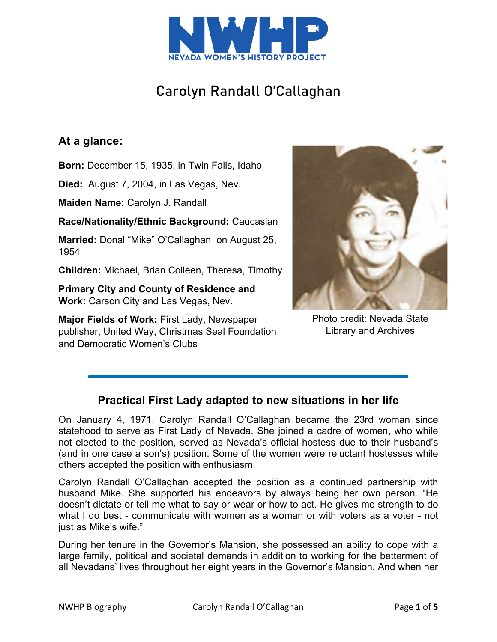

# Carolyn Randall O'Callaghan

## **At a glance:**

**Born:** December 15, 1935, in Twin Falls, Idaho

**Died:** August 7, 2004, in Las Vegas, Nev.

**Maiden Name:** Carolyn J. Randall

**Race/Nationality/Ethnic Background:** Caucasian

**Married:** Donal "Mike" O'Callaghan on August 25, 1954

**Children:** Michael, Brian Colleen, Theresa, Timothy

**Primary City and County of Residence and Work:** Carson City and Las Vegas, Nev.

**Major Fields of Work:** First Lady, Newspaper publisher, United Way, Christmas Seal Foundation and Democratic Women's Clubs



Photo credit: Nevada State Library and Archives

## **Practical First Lady adapted to new situations in her life**

On January 4, 1971, Carolyn Randall O'Callaghan became the 23rd woman since statehood to serve as First Lady of Nevada. She joined a cadre of women, who while not elected to the position, served as Nevada's official hostess due to their husband's (and in one case a son's) position. Some of the women were reluctant hostesses while others accepted the position with enthusiasm.

Carolyn Randall O'Callaghan accepted the position as a continued partnership with husband Mike. She supported his endeavors by always being her own person. "He doesn't dictate or tell me what to say or wear or how to act. He gives me strength to do what I do best - communicate with women as a woman or with voters as a voter - not just as Mike's wife."

During her tenure in the Governor's Mansion, she possessed an ability to cope with a large family, political and societal demands in addition to working for the betterment of all Nevadans' lives throughout her eight years in the Governor's Mansion. And when her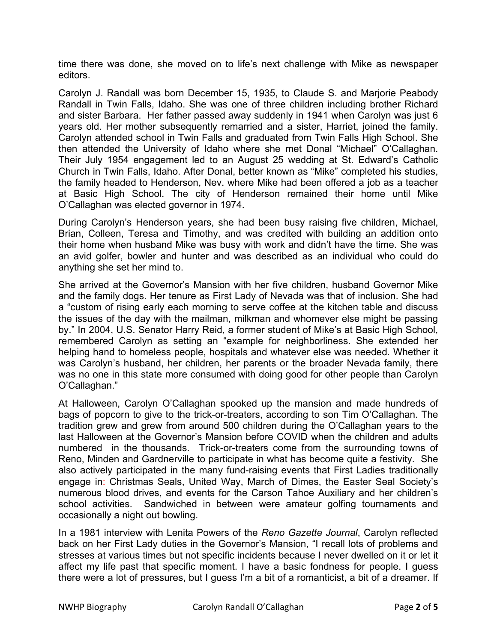time there was done, she moved on to life's next challenge with Mike as newspaper editors.

Carolyn J. Randall was born December 15, 1935, to Claude S. and Marjorie Peabody Randall in Twin Falls, Idaho. She was one of three children including brother Richard and sister Barbara. Her father passed away suddenly in 1941 when Carolyn was just 6 years old. Her mother subsequently remarried and a sister, Harriet, joined the family. Carolyn attended school in Twin Falls and graduated from Twin Falls High School. She then attended the University of Idaho where she met Donal "Michael" O'Callaghan. Their July 1954 engagement led to an August 25 wedding at St. Edward's Catholic Church in Twin Falls, Idaho. After Donal, better known as "Mike" completed his studies, the family headed to Henderson, Nev. where Mike had been offered a job as a teacher at Basic High School. The city of Henderson remained their home until Mike O'Callaghan was elected governor in 1974.

During Carolyn's Henderson years, she had been busy raising five children, Michael, Brian, Colleen, Teresa and Timothy, and was credited with building an addition onto their home when husband Mike was busy with work and didn't have the time. She was an avid golfer, bowler and hunter and was described as an individual who could do anything she set her mind to.

She arrived at the Governor's Mansion with her five children, husband Governor Mike and the family dogs. Her tenure as First Lady of Nevada was that of inclusion. She had a "custom of rising early each morning to serve coffee at the kitchen table and discuss the issues of the day with the mailman, milkman and whomever else might be passing by." In 2004, U.S. Senator Harry Reid, a former student of Mike's at Basic High School, remembered Carolyn as setting an "example for neighborliness. She extended her helping hand to homeless people, hospitals and whatever else was needed. Whether it was Carolyn's husband, her children, her parents or the broader Nevada family, there was no one in this state more consumed with doing good for other people than Carolyn O'Callaghan."

At Halloween, Carolyn O'Callaghan spooked up the mansion and made hundreds of bags of popcorn to give to the trick-or-treaters, according to son Tim O'Callaghan. The tradition grew and grew from around 500 children during the O'Callaghan years to the last Halloween at the Governor's Mansion before COVID when the children and adults numbered in the thousands. Trick-or-treaters come from the surrounding towns of Reno, Minden and Gardnerville to participate in what has become quite a festivity. She also actively participated in the many fund-raising events that First Ladies traditionally engage in: Christmas Seals, United Way, March of Dimes, the Easter Seal Society's numerous blood drives, and events for the Carson Tahoe Auxiliary and her children's school activities. Sandwiched in between were amateur golfing tournaments and occasionally a night out bowling.

In a 1981 interview with Lenita Powers of the *Reno Gazette Journal*, Carolyn reflected back on her First Lady duties in the Governor's Mansion, "I recall lots of problems and stresses at various times but not specific incidents because I never dwelled on it or let it affect my life past that specific moment. I have a basic fondness for people. I guess there were a lot of pressures, but I guess I'm a bit of a romanticist, a bit of a dreamer. If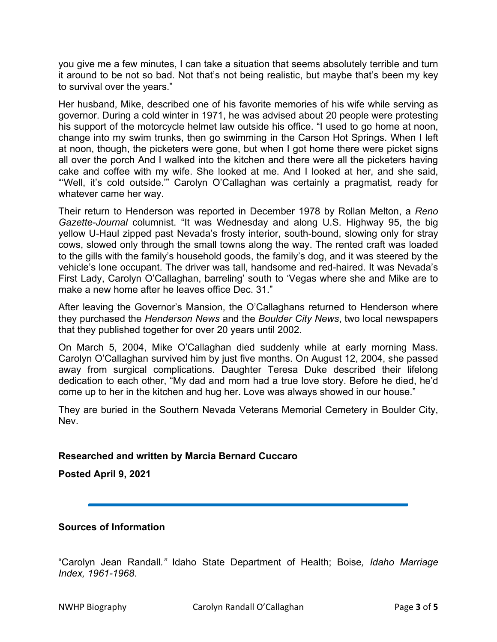you give me a few minutes, I can take a situation that seems absolutely terrible and turn it around to be not so bad. Not that's not being realistic, but maybe that's been my key to survival over the years."

Her husband, Mike, described one of his favorite memories of his wife while serving as governor. During a cold winter in 1971, he was advised about 20 people were protesting his support of the motorcycle helmet law outside his office. "I used to go home at noon, change into my swim trunks, then go swimming in the Carson Hot Springs. When I left at noon, though, the picketers were gone, but when I got home there were picket signs all over the porch And I walked into the kitchen and there were all the picketers having cake and coffee with my wife. She looked at me. And I looked at her, and she said, "'Well, it's cold outside.'" Carolyn O'Callaghan was certainly a pragmatist*,* ready for whatever came her way.

Their return to Henderson was reported in December 1978 by Rollan Melton, a *Reno Gazette-Journal* columnist. "It was Wednesday and along U.S. Highway 95, the big yellow U-Haul zipped past Nevada's frosty interior, south-bound, slowing only for stray cows, slowed only through the small towns along the way. The rented craft was loaded to the gills with the family's household goods, the family's dog, and it was steered by the vehicle's lone occupant. The driver was tall, handsome and red-haired. It was Nevada's First Lady, Carolyn O'Callaghan, barreling' south to 'Vegas where she and Mike are to make a new home after he leaves office Dec. 31."

After leaving the Governor's Mansion, the O'Callaghans returned to Henderson where they purchased the *Henderson News* and the *Boulder City News*, two local newspapers that they published together for over 20 years until 2002.

On March 5, 2004, Mike O'Callaghan died suddenly while at early morning Mass. Carolyn O'Callaghan survived him by just five months. On August 12, 2004, she passed away from surgical complications. Daughter Teresa Duke described their lifelong dedication to each other, "My dad and mom had a true love story. Before he died, he'd come up to her in the kitchen and hug her. Love was always showed in our house."

They are buried in the Southern Nevada Veterans Memorial Cemetery in Boulder City, Nev.

### **Researched and written by Marcia Bernard Cuccaro**

**Posted April 9, 2021** 

### **Sources of Information**

"Carolyn Jean Randall*."* Idaho State Department of Health; Boise*, Idaho Marriage Index, 1961-1968*.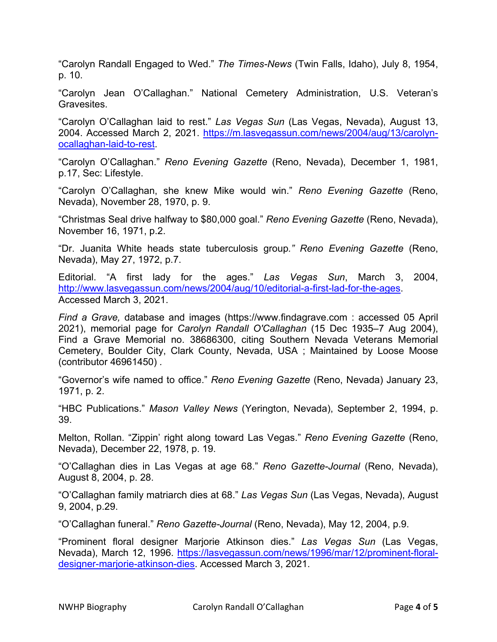"Carolyn Randall Engaged to Wed." *The Times-News* (Twin Falls, Idaho), July 8, 1954, p. 10.

"Carolyn Jean O'Callaghan." National Cemetery Administration, U.S. Veteran's Gravesites.

"Carolyn O'Callaghan laid to rest." *Las Vegas Sun* (Las Vegas, Nevada), August 13, 2004. Accessed March 2, 2021. https://m.lasvegassun.com/news/2004/aug/13/carolynocallaghan-laid-to-rest.

"Carolyn O'Callaghan." *Reno Evening Gazette* (Reno, Nevada), December 1, 1981, p.17, Sec: Lifestyle.

"Carolyn O'Callaghan, she knew Mike would win." *Reno Evening Gazette* (Reno, Nevada), November 28, 1970, p. 9.

"Christmas Seal drive halfway to \$80,000 goal." *Reno Evening Gazette* (Reno, Nevada), November 16, 1971, p.2.

"Dr. Juanita White heads state tuberculosis group*." Reno Evening Gazette* (Reno, Nevada), May 27, 1972, p.7.

Editorial. "A first lady for the ages." *Las Vegas Sun*, March 3, 2004, http://www.lasvegassun.com/news/2004/aug/10/editorial-a-first-lad-for-the-ages. Accessed March 3, 2021.

*Find a Grave,* database and images (https://www.findagrave.com : accessed 05 April 2021), memorial page for *Carolyn Randall O'Callaghan* (15 Dec 1935–7 Aug 2004), Find a Grave Memorial no. 38686300, citing Southern Nevada Veterans Memorial Cemetery, Boulder City, Clark County, Nevada, USA ; Maintained by Loose Moose (contributor 46961450) *.*

"Governor's wife named to office." *Reno Evening Gazette* (Reno, Nevada) January 23, 1971, p. 2.

"HBC Publications." *Mason Valley News* (Yerington, Nevada), September 2, 1994, p. 39.

Melton, Rollan. "Zippin' right along toward Las Vegas." *Reno Evening Gazette* (Reno, Nevada), December 22, 1978, p. 19.

"O'Callaghan dies in Las Vegas at age 68." *Reno Gazette-Journal* (Reno, Nevada), August 8, 2004, p. 28.

"O'Callaghan family matriarch dies at 68." *Las Vegas Sun* (Las Vegas, Nevada), August 9, 2004, p.29.

"O'Callaghan funeral." *Reno Gazette-Journal* (Reno, Nevada), May 12, 2004, p.9.

"Prominent floral designer Marjorie Atkinson dies." *Las Vegas Sun* (Las Vegas, Nevada), March 12, 1996. https://lasvegassun.com/news/1996/mar/12/prominent-floraldesigner-marjorie-atkinson-dies. Accessed March 3, 2021.